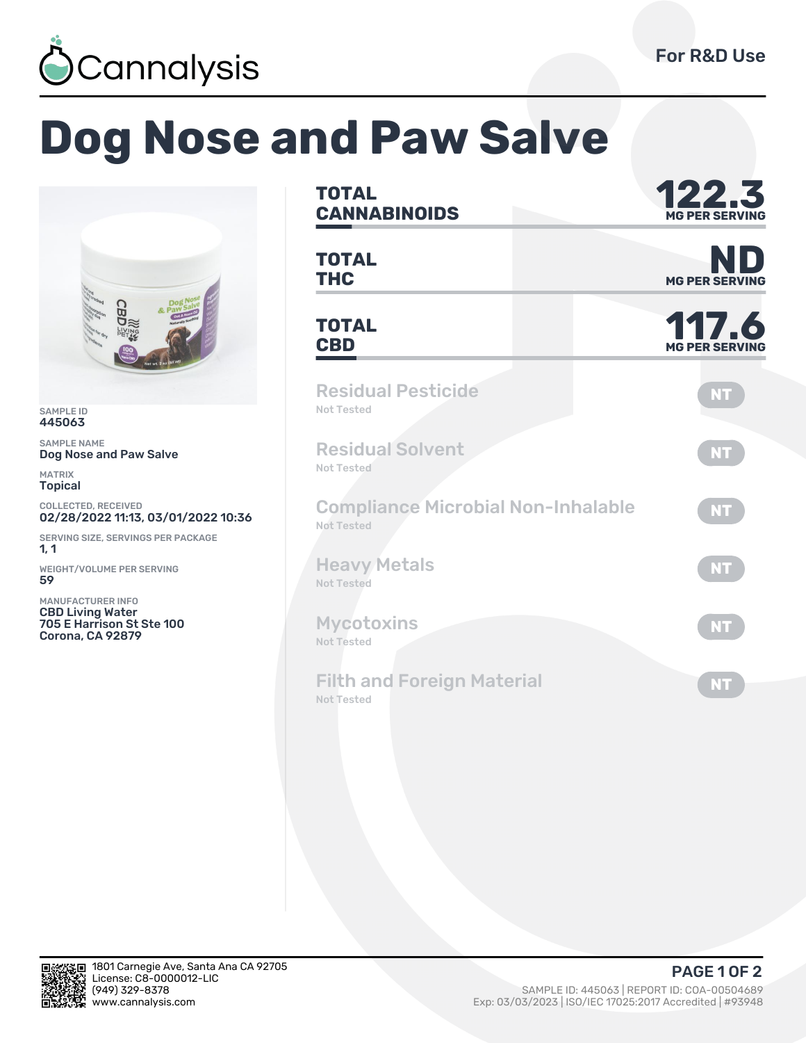

## **Dog Nose and Paw Salve**



SAMPLE ID 445063

SAMPLE NAME Dog Nose and Paw Salve

MATRIX Topical

COLLECTED, RECEIVED 02/28/2022 11:13, 03/01/2022 10:36

SERVING SIZE, SERVINGS PER PACKAGE  $1, 1$ 

WEIGHT/VOLUME PER SERVING ȁȅ

MANUFACTURER INFO CBD Living Water 705 E Harrison St Ste 100 Corona, CA 92879

| <b>TOTAL</b><br><b>CANNABINOIDS</b>                     | 122.3<br><b>MG PER SERVING</b> |  |  |  |
|---------------------------------------------------------|--------------------------------|--|--|--|
| <b>TOTAL</b><br><b>THC</b>                              | NI<br><b>MG PER SERVING</b>    |  |  |  |
| <b>TOTAL</b><br><b>CBD</b>                              | 117.6<br><b>MG PER SERVING</b> |  |  |  |
| <b>Residual Pesticide</b><br>Not Tested                 | <b>NT</b>                      |  |  |  |
| <b>Residual Solvent</b><br><b>Not Tested</b>            | <b>NT</b>                      |  |  |  |
| <b>Compliance Microbial Non-Inhalable</b><br>Not Tested | <b>NT</b>                      |  |  |  |
| <b>Heavy Metals</b><br><b>Not Tested</b>                | <b>NT</b>                      |  |  |  |
| <b>Mycotoxins</b><br><b>Not Tested</b>                  | <b>NT</b>                      |  |  |  |
| <b>Filth and Foreign Material</b><br><b>Not Tested</b>  | <b>NT</b>                      |  |  |  |